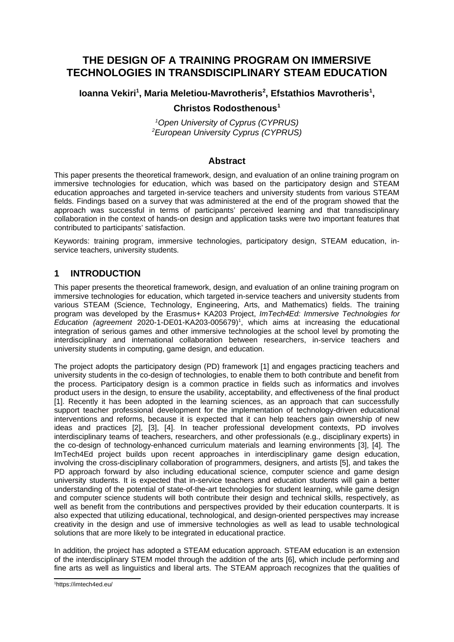# **THE DESIGN OF A TRAINING PROGRAM ON IMMERSIVE TECHNOLOGIES IN TRANSDISCIPLINARY STEAM EDUCATION**

## **Ioanna Vekiri<sup>1</sup>, Maria Meletiou-Mavrotheris<sup>2</sup>, Efstathios Mavrotheris<sup>1</sup>,**

## **Christos Rodosthenous<sup>1</sup>**

*<sup>1</sup>Open University of Cyprus (CYPRUS) <sup>2</sup>European University Cyprus (CYPRUS)* 

#### <span id="page-0-0"></span>**Abstract**

This paper presents the theoretical framework, design, and evaluation of an online training program on immersive technologies for education, which was based on the participatory design and STEAM education approaches and targeted in-service teachers and university students from various STEAM fields. Findings based on a survey that was administered at the end of the program showed that the approach was successful in terms of participants' perceived learning and that transdisciplinary collaboration in the context of hands-on design and application tasks were two important features that contributed to participants' satisfaction.

Keywords: training program, immersive technologies, participatory design, STEAM education, inservice teachers, university students.

## **1 INTRODUCTION**

This paper presents the theoretical framework, design, and evaluation of an online training program on immersive technologies for education, which targeted in-service teachers and university students from various STEAM (Science, Technology, Engineering, Arts, and Mathematics) fields. The training program was developed by the Erasmus+ KA203 Project, *ImTech4Ed: Immersive Technologies for Education (agreement* 2020-1-DE01-KA203-005679)[1](#page-0-1) , which aims at increasing the educational integration of serious games and other immersive technologies at the school level by promoting the interdisciplinary and international collaboration between researchers, in-service teachers and university students in computing, game design, and education.

The project adopts the participatory design (PD) framework [1] and engages practicing teachers and university students in the co-design of technologies, to enable them to both contribute and benefit from the process. Participatory design is a common practice in fields such as informatics and involves product users in the design, to ensure the usability, acceptability, and effectiveness of the final product [1]. Recently it has been adopted in the learning sciences, as an approach that can successfully support teacher professional development for the implementation of technology-driven educational interventions and reforms, because it is expected that it can help teachers gain ownership of new ideas and practices [2], [3], [4]. In teacher professional development contexts, PD involves interdisciplinary teams of teachers, researchers, and other professionals (e.g., disciplinary experts) in the co-design of technology-enhanced curriculum materials and learning environments [3], [4]. The ImTech4Ed project builds upon recent approaches in interdisciplinary game design education, involving the cross-disciplinary collaboration of programmers, designers, and artists [5], and takes the PD approach forward by also including educational science, computer science and game design university students. It is expected that in-service teachers and education students will gain a better understanding of the potential of state-of-the-art technologies for student learning, while game design and computer science students will both contribute their design and technical skills, respectively, as well as benefit from the contributions and perspectives provided by their education counterparts. It is also expected that utilizing educational, technological, and design-oriented perspectives may increase creativity in the design and use of immersive technologies as well as lead to usable technological solutions that are more likely to be integrated in educational practice.

In addition, the project has adopted a STEAM education approach. STEAM education is an extension of the interdisciplinary STEM model through the addition of the arts [6], which include performing and fine arts as well as linguistics and liberal arts. The STEAM approach recognizes that the qualities of

<span id="page-0-1"></span>[<sup>1</sup>](#page-0-0)https://imtech4ed.eu/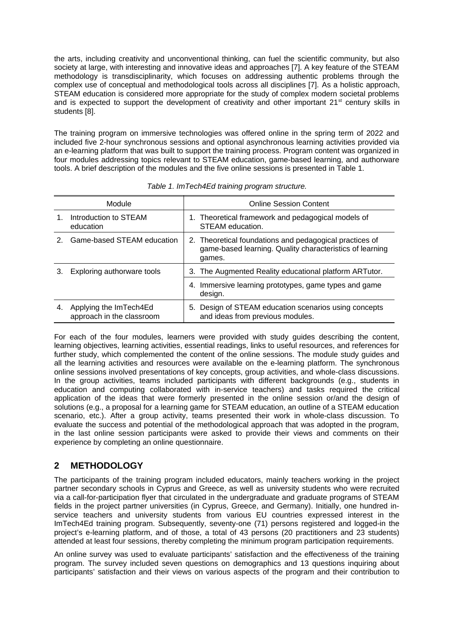the arts, including creativity and unconventional thinking, can fuel the scientific community, but also society at large, with interesting and innovative ideas and approaches [7]. A key feature of the STEAM methodology is transdisciplinarity, which focuses on addressing authentic problems through the complex use of conceptual and methodological tools across all disciplines [7]. As a holistic approach, STEAM education is considered more appropriate for the study of complex modern societal problems and is expected to support the development of creativity and other important  $21<sup>st</sup>$  century skills in students [8].

The training program on immersive technologies was offered online in the spring term of 2022 and included five 2-hour synchronous sessions and optional asynchronous learning activities provided via an e-learning platform that was built to support the training process. Program content was organized in four modules addressing topics relevant to STEAM education, game-based learning, and authorware tools. A brief description of the modules and the five online sessions is presented in Table 1.

| Module |                                                     | <b>Online Session Content</b>                                                                                                 |  |  |
|--------|-----------------------------------------------------|-------------------------------------------------------------------------------------------------------------------------------|--|--|
|        | Introduction to STEAM<br>education                  | 1. Theoretical framework and pedagogical models of<br>STEAM education.                                                        |  |  |
|        | Game-based STEAM education                          | 2. Theoretical foundations and pedagogical practices of<br>game-based learning. Quality characteristics of learning<br>games. |  |  |
|        | Exploring authorware tools                          | 3. The Augmented Reality educational platform ARTutor.                                                                        |  |  |
|        |                                                     | 4. Immersive learning prototypes, game types and game<br>design.                                                              |  |  |
| 4.     | Applying the ImTech4Ed<br>approach in the classroom | 5. Design of STEAM education scenarios using concepts<br>and ideas from previous modules.                                     |  |  |

*Table 1. ImTech4Ed training program structure.*

For each of the four modules, learners were provided with study guides describing the content, learning objectives, learning activities, essential readings, links to useful resources, and references for further study, which complemented the content of the online sessions. The module study guides and all the learning activities and resources were available on the e-learning platform. The synchronous online sessions involved presentations of key concepts, group activities, and whole-class discussions. In the group activities, teams included participants with different backgrounds (e.g., students in education and computing collaborated with in-service teachers) and tasks required the critical application of the ideas that were formerly presented in the online session or/and the design of solutions (e.g., a proposal for a learning game for STEAM education, an outline of a STEAM education scenario, etc.). After a group activity, teams presented their work in whole-class discussion. To evaluate the success and potential of the methodological approach that was adopted in the program, in the last online session participants were asked to provide their views and comments on their experience by completing an online questionnaire.

## **2 METHODOLOGY**

The participants of the training program included educators, mainly teachers working in the project partner secondary schools in Cyprus and Greece, as well as university students who were recruited via a call-for-participation flyer that circulated in the undergraduate and graduate programs of STEAM fields in the project partner universities (in Cyprus, Greece, and Germany). Initially, one hundred inservice teachers and university students from various EU countries expressed interest in the ImTech4Ed training program. Subsequently, seventy-one (71) persons registered and logged-in the project's e-learning platform, and of those, a total of 43 persons (20 practitioners and 23 students) attended at least four sessions, thereby completing the minimum program participation requirements.

An online survey was used to evaluate participants' satisfaction and the effectiveness of the training program. The survey included seven questions on demographics and 13 questions inquiring about participants' satisfaction and their views on various aspects of the program and their contribution to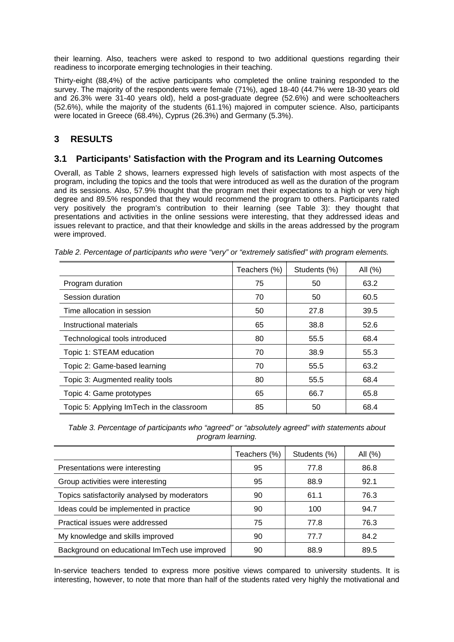their learning. Also, teachers were asked to respond to two additional questions regarding their readiness to incorporate emerging technologies in their teaching.

Thirty-eight (88,4%) of the active participants who completed the online training responded to the survey. The majority of the respondents were female (71%), aged 18-40 (44.7% were 18-30 years old and 26.3% were 31-40 years old), held a post-graduate degree (52.6%) and were schoolteachers (52.6%), while the majority of the students (61.1%) majored in computer science. Also, participants were located in Greece (68.4%), Cyprus (26.3%) and Germany (5.3%).

## **3 RESULTS**

#### **3.1 Participants' Satisfaction with the Program and its Learning Outcomes**

Overall, as Table 2 shows, learners expressed high levels of satisfaction with most aspects of the program, including the topics and the tools that were introduced as well as the duration of the program and its sessions. Also, 57.9% thought that the program met their expectations to a high or very high degree and 89.5% responded that they would recommend the program to others. Participants rated very positively the program's contribution to their learning (see Table 3): they thought that presentations and activities in the online sessions were interesting, that they addressed ideas and issues relevant to practice, and that their knowledge and skills in the areas addressed by the program were improved.

|                                           | Teachers (%) | Students (%) | All (%) |
|-------------------------------------------|--------------|--------------|---------|
| Program duration                          | 75           | 50           | 63.2    |
| Session duration                          | 70           | 50           | 60.5    |
| Time allocation in session                | 50           | 27.8         | 39.5    |
| Instructional materials                   | 65           | 38.8         | 52.6    |
| Technological tools introduced            | 80           | 55.5         | 68.4    |
| Topic 1: STEAM education                  | 70           | 38.9         | 55.3    |
| Topic 2: Game-based learning              | 70           | 55.5         | 63.2    |
| Topic 3: Augmented reality tools          | 80           | 55.5         | 68.4    |
| Topic 4: Game prototypes                  | 65           | 66.7         | 65.8    |
| Topic 5: Applying ImTech in the classroom | 85           | 50           | 68.4    |

*Table 2. Percentage of participants who were "very" or "extremely satisfied" with program elements.*

*Table 3. Percentage of participants who "agreed" or "absolutely agreed" with statements about program learning.*

|                                               | Teachers (%) | Students (%) | All (%) |
|-----------------------------------------------|--------------|--------------|---------|
| Presentations were interesting                | 95           | 77.8         | 86.8    |
| Group activities were interesting             | 95           | 88.9         | 92.1    |
| Topics satisfactorily analysed by moderators  | 90           | 61.1         | 76.3    |
| Ideas could be implemented in practice        | 90           | 100          | 94.7    |
| Practical issues were addressed               | 75           | 77.8         | 76.3    |
| My knowledge and skills improved              | 90           | 77.7         | 84.2    |
| Background on educational ImTech use improved | 90           | 88.9         | 89.5    |

In-service teachers tended to express more positive views compared to university students. It is interesting, however, to note that more than half of the students rated very highly the motivational and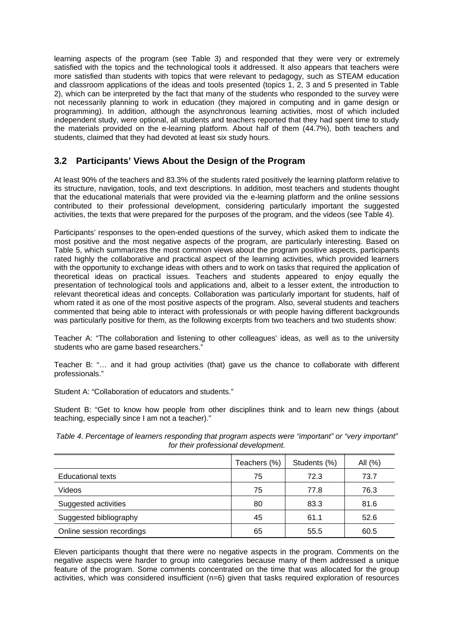learning aspects of the program (see Table 3) and responded that they were very or extremely satisfied with the topics and the technological tools it addressed. It also appears that teachers were more satisfied than students with topics that were relevant to pedagogy, such as STEAM education and classroom applications of the ideas and tools presented (topics 1, 2, 3 and 5 presented in Table 2), which can be interpreted by the fact that many of the students who responded to the survey were not necessarily planning to work in education (they majored in computing and in game design or programming). In addition, although the asynchronous learning activities, most of which included independent study, were optional, all students and teachers reported that they had spent time to study the materials provided on the e-learning platform. About half of them (44.7%), both teachers and students, claimed that they had devoted at least six study hours.

## **3.2 Participants' Views About the Design of the Program**

At least 90% of the teachers and 83.3% of the students rated positively the learning platform relative to its structure, navigation, tools, and text descriptions. In addition, most teachers and students thought that the educational materials that were provided via the e-learning platform and the online sessions contributed to their professional development, considering particularly important the suggested activities, the texts that were prepared for the purposes of the program, and the videos (see Table 4).

Participants' responses to the open-ended questions of the survey, which asked them to indicate the most positive and the most negative aspects of the program, are particularly interesting. Based on Table 5, which summarizes the most common views about the program positive aspects, participants rated highly the collaborative and practical aspect of the learning activities, which provided learners with the opportunity to exchange ideas with others and to work on tasks that required the application of theoretical ideas on practical issues. Teachers and students appeared to enjoy equally the presentation of technological tools and applications and, albeit to a lesser extent, the introduction to relevant theoretical ideas and concepts. Collaboration was particularly important for students, half of whom rated it as one of the most positive aspects of the program. Also, several students and teachers commented that being able to interact with professionals or with people having different backgrounds was particularly positive for them, as the following excerpts from two teachers and two students show:

Teacher A: "The collaboration and listening to other colleagues' ideas, as well as to the university students who are game based researchers."

Teacher B: "… and it had group activities (that) gave us the chance to collaborate with different professionals."

Student A: "Collaboration of educators and students."

Student B: "Get to know how people from other disciplines think and to learn new things (about teaching, especially since I am not a teacher)."

*Table 4. Percentage of learners responding that program aspects were "important" or "very important" for their professional development.*

|                           | Teachers (%) | Students (%) | All $(\%)$ |
|---------------------------|--------------|--------------|------------|
| Educational texts         | 75           | 72.3         | 73.7       |
| Videos                    | 75           | 77.8         | 76.3       |
| Suggested activities      | 80           | 83.3         | 81.6       |
| Suggested bibliography    | 45           | 61.1         | 52.6       |
| Online session recordings | 65           | 55.5         | 60.5       |

Eleven participants thought that there were no negative aspects in the program. Comments on the negative aspects were harder to group into categories because many of them addressed a unique feature of the program. Some comments concentrated on the time that was allocated for the group activities, which was considered insufficient (n=6) given that tasks required exploration of resources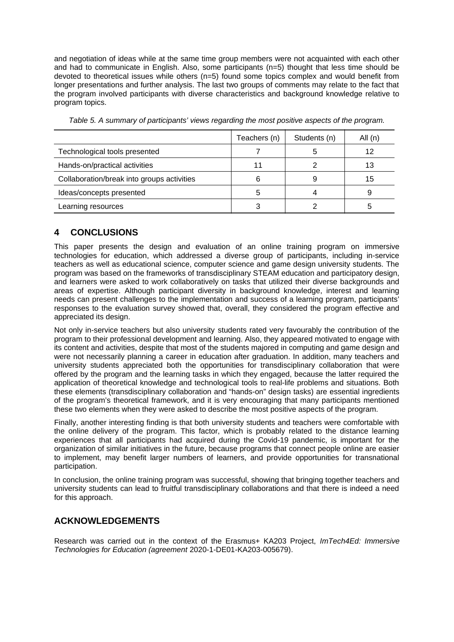and negotiation of ideas while at the same time group members were not acquainted with each other and had to communicate in English. Also, some participants (n=5) thought that less time should be devoted to theoretical issues while others (n=5) found some topics complex and would benefit from longer presentations and further analysis. The last two groups of comments may relate to the fact that the program involved participants with diverse characteristics and background knowledge relative to program topics.

|                                            | Teachers (n) | Students (n) | All (n) |
|--------------------------------------------|--------------|--------------|---------|
| Technological tools presented              |              |              |         |
| Hands-on/practical activities              | 11           |              | 13      |
| Collaboration/break into groups activities | 6            | 9            | 15      |
| Ideas/concepts presented                   | 5            |              |         |
| Learning resources                         |              |              | 5       |

*Table 5. A summary of participants' views regarding the most positive aspects of the program.*

## **4 CONCLUSIONS**

This paper presents the design and evaluation of an online training program on immersive technologies for education, which addressed a diverse group of participants, including in-service teachers as well as educational science, computer science and game design university students. The program was based on the frameworks of transdisciplinary STEAM education and participatory design, and learners were asked to work collaboratively on tasks that utilized their diverse backgrounds and areas of expertise. Although participant diversity in background knowledge, interest and learning needs can present challenges to the implementation and success of a learning program, participants' responses to the evaluation survey showed that, overall, they considered the program effective and appreciated its design.

Not only in-service teachers but also university students rated very favourably the contribution of the program to their professional development and learning. Also, they appeared motivated to engage with its content and activities, despite that most of the students majored in computing and game design and were not necessarily planning a career in education after graduation. In addition, many teachers and university students appreciated both the opportunities for transdisciplinary collaboration that were offered by the program and the learning tasks in which they engaged, because the latter required the application of theoretical knowledge and technological tools to real-life problems and situations. Both these elements (transdisciplinary collaboration and "hands-on" design tasks) are essential ingredients of the program's theoretical framework, and it is very encouraging that many participants mentioned these two elements when they were asked to describe the most positive aspects of the program.

Finally, another interesting finding is that both university students and teachers were comfortable with the online delivery of the program. This factor, which is probably related to the distance learning experiences that all participants had acquired during the Covid-19 pandemic, is important for the organization of similar initiatives in the future, because programs that connect people online are easier to implement, may benefit larger numbers of learners, and provide opportunities for transnational participation.

In conclusion, the online training program was successful, showing that bringing together teachers and university students can lead to fruitful transdisciplinary collaborations and that there is indeed a need for this approach.

#### **ACKNOWLEDGEMENTS**

Research was carried out in the context of the Erasmus+ KA203 Project, *ImTech4Ed: Immersive Technologies for Education (agreement* 2020-1-DE01-KA203-005679).